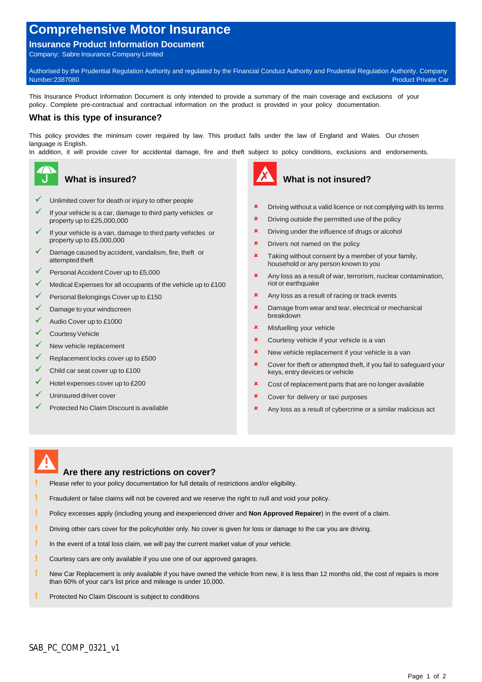# **Comprehensive Motor Insurance**

#### **Insurance Product Information Document**

Company: Sabre Insurance Company Limited

Authorised by the Prudential Regulation Authority and regulated by the Financial Conduct Authority and Prudential Regulation Authority. Company Number:2387080 Product Private Car

This Insurance Product Information Document is only intended to provide a summary of the main coverage and exclusions of your policy. Complete pre-contractual and contractual information on the product is provided in your policy documentation.

#### **What is this type of insurance?**

This policy provides the minimum cover required by law. This product falls under the law of England and Wales. Our chosen language is English.

In addition, it will provide cover for accidental damage, fire and theft subject to policy conditions, exclusions and endorsements.



## **What is insured?**

- Unlimited cover for death or injury to other people
- If your vehicle is a car, damage to third party vehicles or **x** property up to £25,000,000
- If your vehicle is a van, damage to third party vehicles or property up to £5,000,000
- Damage caused by accident, vandalism, fire, theft or attempted theft
- $\sqrt{ }$  Personal Accident Cover up to £5,000
- Medical Expenses for all occupants of the vehicle up to £100
- $\checkmark$  Personal Belongings Cover up to £150
- Damage to your windscreen
- Audio Cover up to £1000
- $\checkmark$  Courtesy Vehicle
- New vehicle replacement
- $\sqrt{\phantom{a}}$  Replacement locks cover up to £500
- Child car seat cover up to £100
- $\checkmark$  Hotel expenses cover up to £200
- Uninsured driver cover
- Protected No Claim Discount is available



## **What is not insured?**

- Driving without a valid licence or not complying with its terms
- Driving outside the permitted use of the policy
- Driving under the influence of drugs or alcohol
- Drivers not named on the policy
- **\*** Taking without consent by a member of your family, household or any person known to you
- Any loss as a result of war, terrorism, nuclear contamination, riot or earthquake
- Any loss as a result of racing or track events
- **x** Damage from wear and tear, electrical or mechanical breakdown
- **\*** Misfuelling your vehicle
- **x** Courtesy vehicle if your vehicle is a van
- **\*** New vehicle replacement if your vehicle is a van
- **x** Cover for theft or attempted theft, if you fail to safeguard your keys, entry devices or vehicle
- **x** Cost of replacement parts that are no longer available
- **\*** Cover for delivery or taxi purposes
- Any loss as a result of cybercrime or a similar malicious act

## **Are there any restrictions on cover?**

Please refer to your policy documentation for full details of restrictions and/or eligibility.

- **!** Fraudulent or false claims will not be covered and we reserve the right to null and void your policy.
- **!** Policy excesses apply (including young and inexperienced driver and **Non Approved Repairer**) in the event of a claim.
- **!** Driving other cars cover for the policyholder only. No cover is given for loss or damage to the car you are driving.
- **!** In the event of a total loss claim, we will pay the current market value of your vehicle.
- **!** Courtesy cars are only available if you use one of our approved garages.
- **!** New Car Replacement is only available if you have owned the vehicle from new, it is less than 12 months old, the cost of repairs is more than 60% of your car's list price and mileage is under 10,000.
- **Protected No Claim Discount is subject to conditions**<br> **Protected No Claim Discount is subject to conditions**